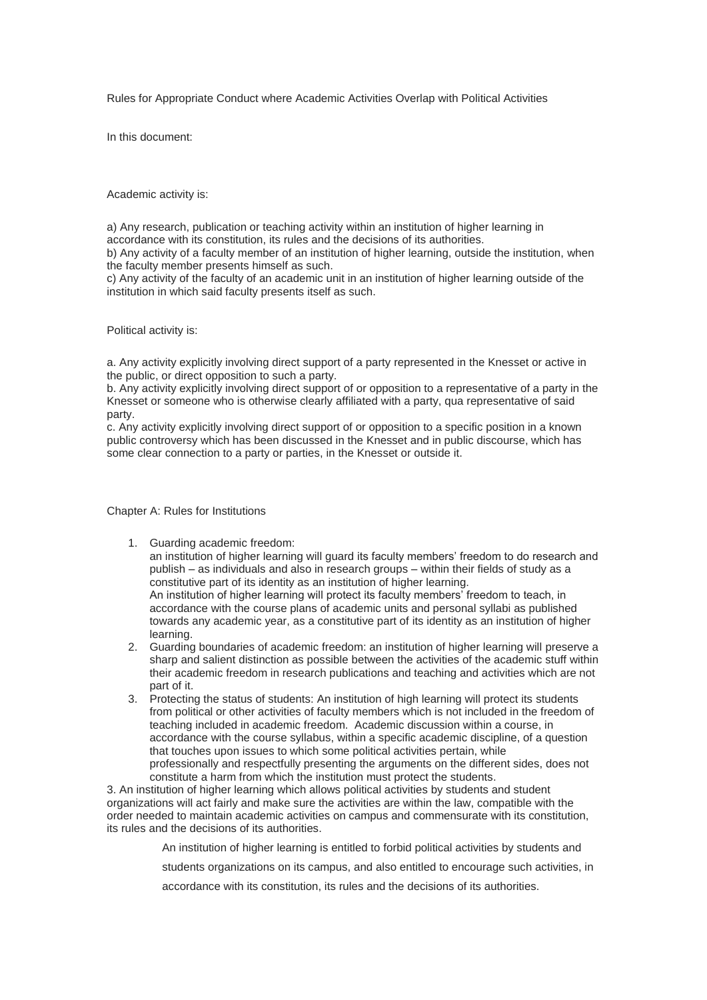Rules for Appropriate Conduct where Academic Activities Overlap with Political Activities

In this document:

Academic activity is:

a) Any research, publication or teaching activity within an institution of higher learning in accordance with its constitution, its rules and the decisions of its authorities.

b) Any activity of a faculty member of an institution of higher learning, outside the institution, when the faculty member presents himself as such.

c) Any activity of the faculty of an academic unit in an institution of higher learning outside of the institution in which said faculty presents itself as such.

Political activity is:

a. Any activity explicitly involving direct support of a party represented in the Knesset or active in the public, or direct opposition to such a party.

b. Any activity explicitly involving direct support of or opposition to a representative of a party in the Knesset or someone who is otherwise clearly affiliated with a party, qua representative of said party.

c. Any activity explicitly involving direct support of or opposition to a specific position in a known public controversy which has been discussed in the Knesset and in public discourse, which has some clear connection to a party or parties, in the Knesset or outside it.

Chapter A: Rules for Institutions

1. Guarding academic freedom:

an institution of higher learning will guard its faculty members' freedom to do research and publish – as individuals and also in research groups – within their fields of study as a constitutive part of its identity as an institution of higher learning. An institution of higher learning will protect its faculty members' freedom to teach, in accordance with the course plans of academic units and personal syllabi as published towards any academic year, as a constitutive part of its identity as an institution of higher learning.

- 2. Guarding boundaries of academic freedom: an institution of higher learning will preserve a sharp and salient distinction as possible between the activities of the academic stuff within their academic freedom in research publications and teaching and activities which are not part of it.
- 3. Protecting the status of students: An institution of high learning will protect its students from political or other activities of faculty members which is not included in the freedom of teaching included in academic freedom. Academic discussion within a course, in accordance with the course syllabus, within a specific academic discipline, of a question that touches upon issues to which some political activities pertain, while professionally and respectfully presenting the arguments on the different sides, does not constitute a harm from which the institution must protect the students.

3. An institution of higher learning which allows political activities by students and student organizations will act fairly and make sure the activities are within the law, compatible with the order needed to maintain academic activities on campus and commensurate with its constitution, its rules and the decisions of its authorities.

An institution of higher learning is entitled to forbid political activities by students and

students organizations on its campus, and also entitled to encourage such activities, in

accordance with its constitution, its rules and the decisions of its authorities.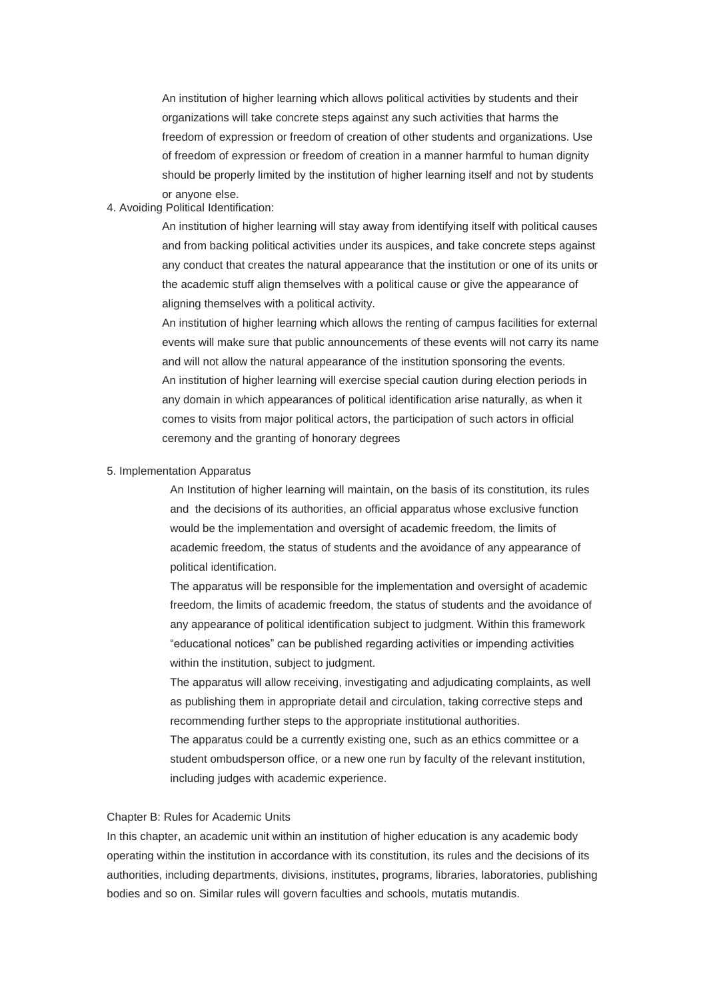An institution of higher learning which allows political activities by students and their organizations will take concrete steps against any such activities that harms the freedom of expression or freedom of creation of other students and organizations. Use of freedom of expression or freedom of creation in a manner harmful to human dignity should be properly limited by the institution of higher learning itself and not by students or anyone else.

4. Avoiding Political Identification:

An institution of higher learning will stay away from identifying itself with political causes and from backing political activities under its auspices, and take concrete steps against any conduct that creates the natural appearance that the institution or one of its units or the academic stuff align themselves with a political cause or give the appearance of aligning themselves with a political activity.

An institution of higher learning which allows the renting of campus facilities for external events will make sure that public announcements of these events will not carry its name and will not allow the natural appearance of the institution sponsoring the events. An institution of higher learning will exercise special caution during election periods in any domain in which appearances of political identification arise naturally, as when it comes to visits from major political actors, the participation of such actors in official ceremony and the granting of honorary degrees

### 5. Implementation Apparatus

An Institution of higher learning will maintain, on the basis of its constitution, its rules and the decisions of its authorities, an official apparatus whose exclusive function would be the implementation and oversight of academic freedom, the limits of academic freedom, the status of students and the avoidance of any appearance of political identification.

The apparatus will be responsible for the implementation and oversight of academic freedom, the limits of academic freedom, the status of students and the avoidance of any appearance of political identification subject to judgment. Within this framework "educational notices" can be published regarding activities or impending activities within the institution, subject to judgment.

The apparatus will allow receiving, investigating and adjudicating complaints, as well as publishing them in appropriate detail and circulation, taking corrective steps and recommending further steps to the appropriate institutional authorities.

The apparatus could be a currently existing one, such as an ethics committee or a student ombudsperson office, or a new one run by faculty of the relevant institution, including judges with academic experience.

### Chapter B: Rules for Academic Units

In this chapter, an academic unit within an institution of higher education is any academic body operating within the institution in accordance with its constitution, its rules and the decisions of its authorities, including departments, divisions, institutes, programs, libraries, laboratories, publishing bodies and so on. Similar rules will govern faculties and schools, mutatis mutandis.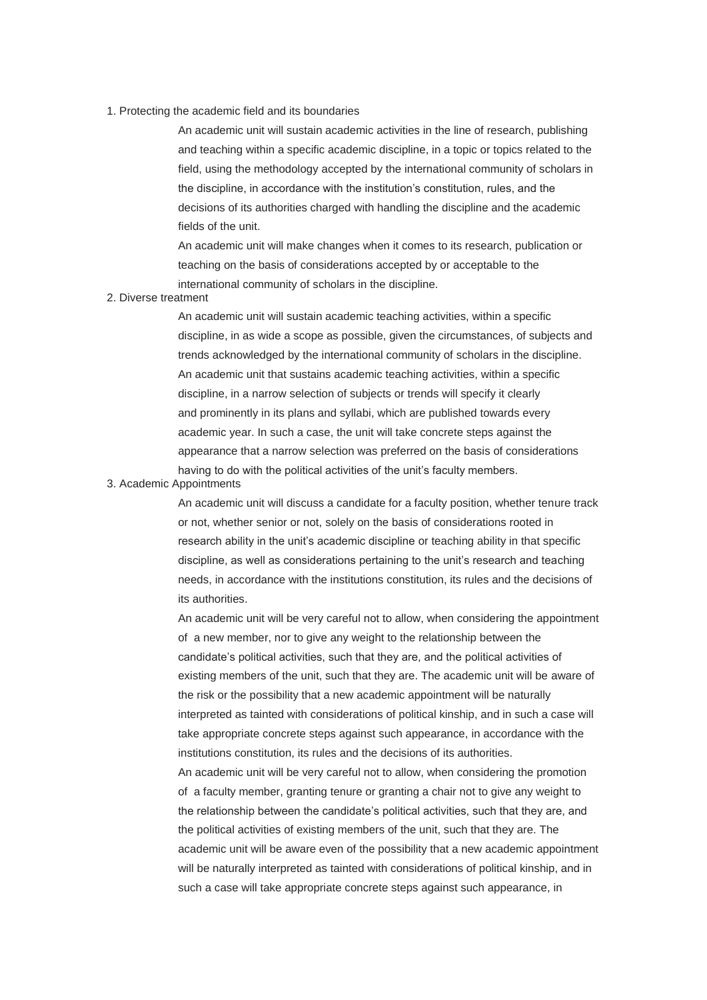#### 1. Protecting the academic field and its boundaries

An academic unit will sustain academic activities in the line of research, publishing and teaching within a specific academic discipline, in a topic or topics related to the field, using the methodology accepted by the international community of scholars in the discipline, in accordance with the institution's constitution, rules, and the decisions of its authorities charged with handling the discipline and the academic fields of the unit.

An academic unit will make changes when it comes to its research, publication or teaching on the basis of considerations accepted by or acceptable to the international community of scholars in the discipline.

# 2. Diverse treatment

An academic unit will sustain academic teaching activities, within a specific discipline, in as wide a scope as possible, given the circumstances, of subjects and trends acknowledged by the international community of scholars in the discipline. An academic unit that sustains academic teaching activities, within a specific discipline, in a narrow selection of subjects or trends will specify it clearly and prominently in its plans and syllabi, which are published towards every academic year. In such a case, the unit will take concrete steps against the appearance that a narrow selection was preferred on the basis of considerations having to do with the political activities of the unit's faculty members.

### 3. Academic Appointments

An academic unit will discuss a candidate for a faculty position, whether tenure track or not, whether senior or not, solely on the basis of considerations rooted in research ability in the unit's academic discipline or teaching ability in that specific discipline, as well as considerations pertaining to the unit's research and teaching needs, in accordance with the institutions constitution, its rules and the decisions of its authorities.

An academic unit will be very careful not to allow, when considering the appointment of a new member, nor to give any weight to the relationship between the candidate's political activities, such that they are, and the political activities of existing members of the unit, such that they are. The academic unit will be aware of the risk or the possibility that a new academic appointment will be naturally interpreted as tainted with considerations of political kinship, and in such a case will take appropriate concrete steps against such appearance, in accordance with the institutions constitution, its rules and the decisions of its authorities. An academic unit will be very careful not to allow, when considering the promotion of a faculty member, granting tenure or granting a chair not to give any weight to the relationship between the candidate's political activities, such that they are, and the political activities of existing members of the unit, such that they are. The academic unit will be aware even of the possibility that a new academic appointment will be naturally interpreted as tainted with considerations of political kinship, and in such a case will take appropriate concrete steps against such appearance, in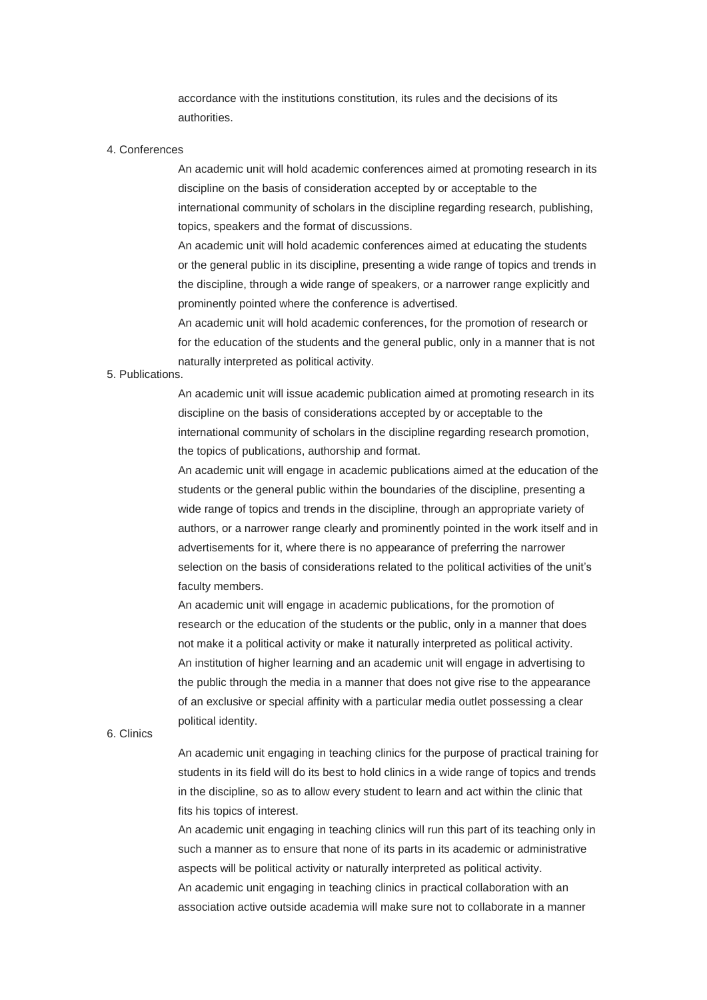accordance with the institutions constitution, its rules and the decisions of its authorities.

### 4. Conferences

An academic unit will hold academic conferences aimed at promoting research in its discipline on the basis of consideration accepted by or acceptable to the international community of scholars in the discipline regarding research, publishing, topics, speakers and the format of discussions.

An academic unit will hold academic conferences aimed at educating the students or the general public in its discipline, presenting a wide range of topics and trends in the discipline, through a wide range of speakers, or a narrower range explicitly and prominently pointed where the conference is advertised.

An academic unit will hold academic conferences, for the promotion of research or for the education of the students and the general public, only in a manner that is not naturally interpreted as political activity.

## 5. Publications.

An academic unit will issue academic publication aimed at promoting research in its discipline on the basis of considerations accepted by or acceptable to the international community of scholars in the discipline regarding research promotion, the topics of publications, authorship and format.

An academic unit will engage in academic publications aimed at the education of the students or the general public within the boundaries of the discipline, presenting a wide range of topics and trends in the discipline, through an appropriate variety of authors, or a narrower range clearly and prominently pointed in the work itself and in advertisements for it, where there is no appearance of preferring the narrower selection on the basis of considerations related to the political activities of the unit's faculty members.

An academic unit will engage in academic publications, for the promotion of research or the education of the students or the public, only in a manner that does not make it a political activity or make it naturally interpreted as political activity. An institution of higher learning and an academic unit will engage in advertising to the public through the media in a manner that does not give rise to the appearance of an exclusive or special affinity with a particular media outlet possessing a clear political identity.

### 6. Clinics

An academic unit engaging in teaching clinics for the purpose of practical training for students in its field will do its best to hold clinics in a wide range of topics and trends in the discipline, so as to allow every student to learn and act within the clinic that fits his topics of interest.

An academic unit engaging in teaching clinics will run this part of its teaching only in such a manner as to ensure that none of its parts in its academic or administrative aspects will be political activity or naturally interpreted as political activity. An academic unit engaging in teaching clinics in practical collaboration with an association active outside academia will make sure not to collaborate in a manner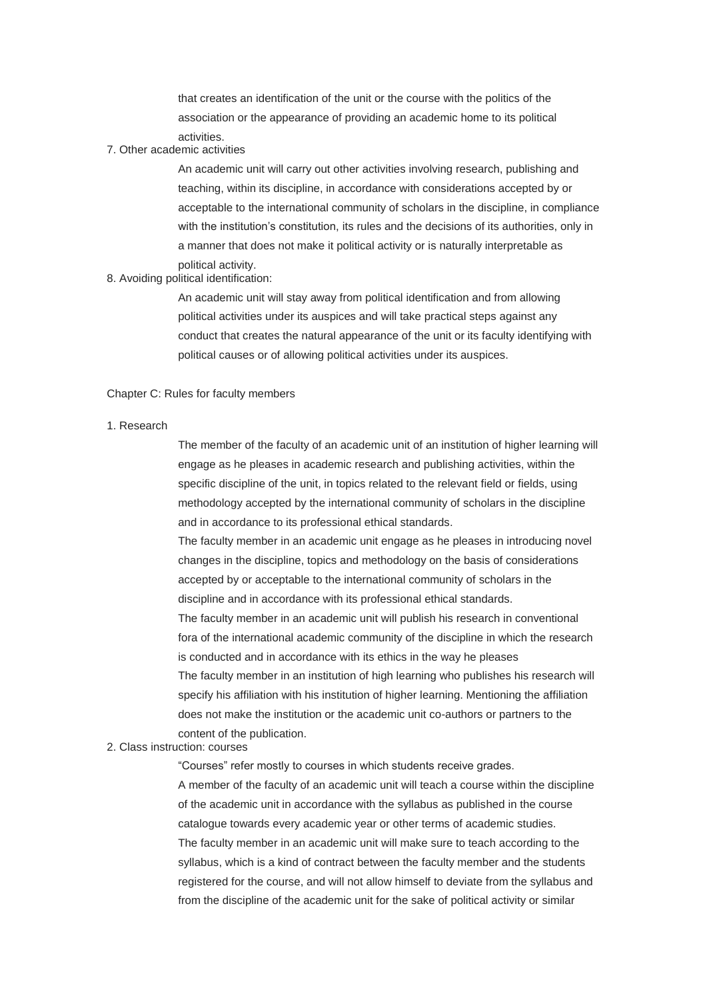that creates an identification of the unit or the course with the politics of the association or the appearance of providing an academic home to its political activities.

7. Other academic activities

An academic unit will carry out other activities involving research, publishing and teaching, within its discipline, in accordance with considerations accepted by or acceptable to the international community of scholars in the discipline, in compliance with the institution's constitution, its rules and the decisions of its authorities, only in a manner that does not make it political activity or is naturally interpretable as political activity.

8. Avoiding political identification:

An academic unit will stay away from political identification and from allowing political activities under its auspices and will take practical steps against any conduct that creates the natural appearance of the unit or its faculty identifying with political causes or of allowing political activities under its auspices.

#### Chapter C: Rules for faculty members

1. Research

The member of the faculty of an academic unit of an institution of higher learning will engage as he pleases in academic research and publishing activities, within the specific discipline of the unit, in topics related to the relevant field or fields, using methodology accepted by the international community of scholars in the discipline and in accordance to its professional ethical standards.

The faculty member in an academic unit engage as he pleases in introducing novel changes in the discipline, topics and methodology on the basis of considerations accepted by or acceptable to the international community of scholars in the discipline and in accordance with its professional ethical standards.

The faculty member in an academic unit will publish his research in conventional fora of the international academic community of the discipline in which the research is conducted and in accordance with its ethics in the way he pleases The faculty member in an institution of high learning who publishes his research will specify his affiliation with his institution of higher learning. Mentioning the affiliation does not make the institution or the academic unit co-authors or partners to the content of the publication.

2. Class instruction: courses

"Courses" refer mostly to courses in which students receive grades.

A member of the faculty of an academic unit will teach a course within the discipline of the academic unit in accordance with the syllabus as published in the course catalogue towards every academic year or other terms of academic studies. The faculty member in an academic unit will make sure to teach according to the syllabus, which is a kind of contract between the faculty member and the students registered for the course, and will not allow himself to deviate from the syllabus and from the discipline of the academic unit for the sake of political activity or similar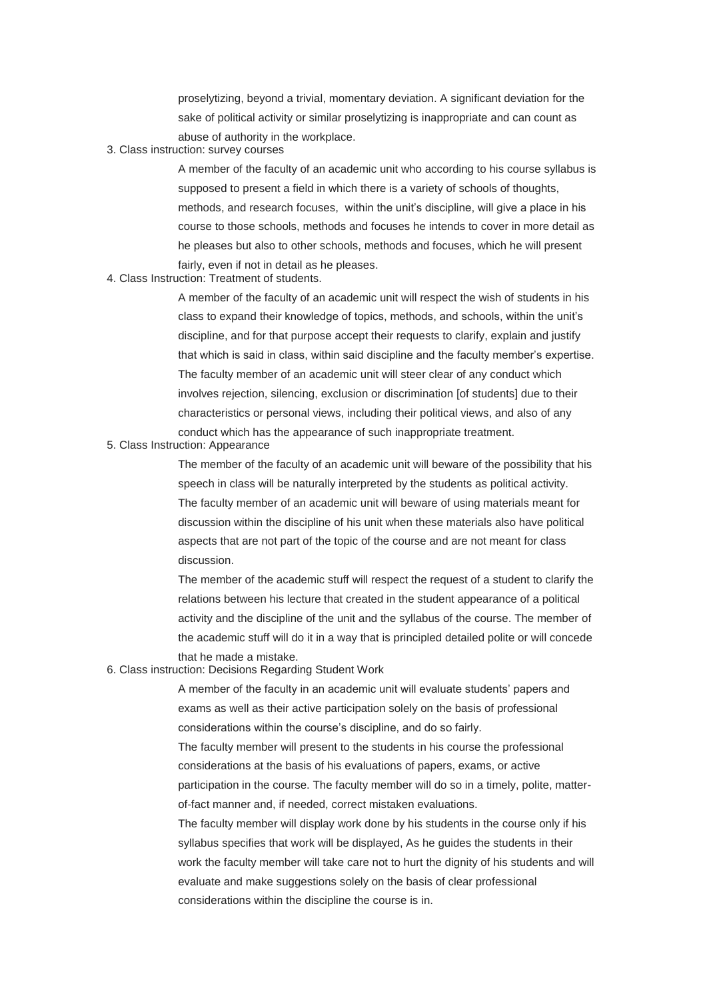proselytizing, beyond a trivial, momentary deviation. A significant deviation for the sake of political activity or similar proselytizing is inappropriate and can count as abuse of authority in the workplace.

3. Class instruction: survey courses

A member of the faculty of an academic unit who according to his course syllabus is supposed to present a field in which there is a variety of schools of thoughts, methods, and research focuses, within the unit's discipline, will give a place in his course to those schools, methods and focuses he intends to cover in more detail as he pleases but also to other schools, methods and focuses, which he will present fairly, even if not in detail as he pleases.

4. Class Instruction: Treatment of students.

A member of the faculty of an academic unit will respect the wish of students in his class to expand their knowledge of topics, methods, and schools, within the unit's discipline, and for that purpose accept their requests to clarify, explain and justify that which is said in class, within said discipline and the faculty member's expertise. The faculty member of an academic unit will steer clear of any conduct which involves rejection, silencing, exclusion or discrimination [of students] due to their characteristics or personal views, including their political views, and also of any conduct which has the appearance of such inappropriate treatment.

5. Class Instruction: Appearance

The member of the faculty of an academic unit will beware of the possibility that his speech in class will be naturally interpreted by the students as political activity. The faculty member of an academic unit will beware of using materials meant for discussion within the discipline of his unit when these materials also have political aspects that are not part of the topic of the course and are not meant for class discussion.

The member of the academic stuff will respect the request of a student to clarify the relations between his lecture that created in the student appearance of a political activity and the discipline of the unit and the syllabus of the course. The member of the academic stuff will do it in a way that is principled detailed polite or will concede that he made a mistake.

6. Class instruction: Decisions Regarding Student Work

A member of the faculty in an academic unit will evaluate students' papers and exams as well as their active participation solely on the basis of professional considerations within the course's discipline, and do so fairly.

The faculty member will present to the students in his course the professional considerations at the basis of his evaluations of papers, exams, or active participation in the course. The faculty member will do so in a timely, polite, matterof-fact manner and, if needed, correct mistaken evaluations.

The faculty member will display work done by his students in the course only if his syllabus specifies that work will be displayed, As he guides the students in their work the faculty member will take care not to hurt the dignity of his students and will evaluate and make suggestions solely on the basis of clear professional considerations within the discipline the course is in.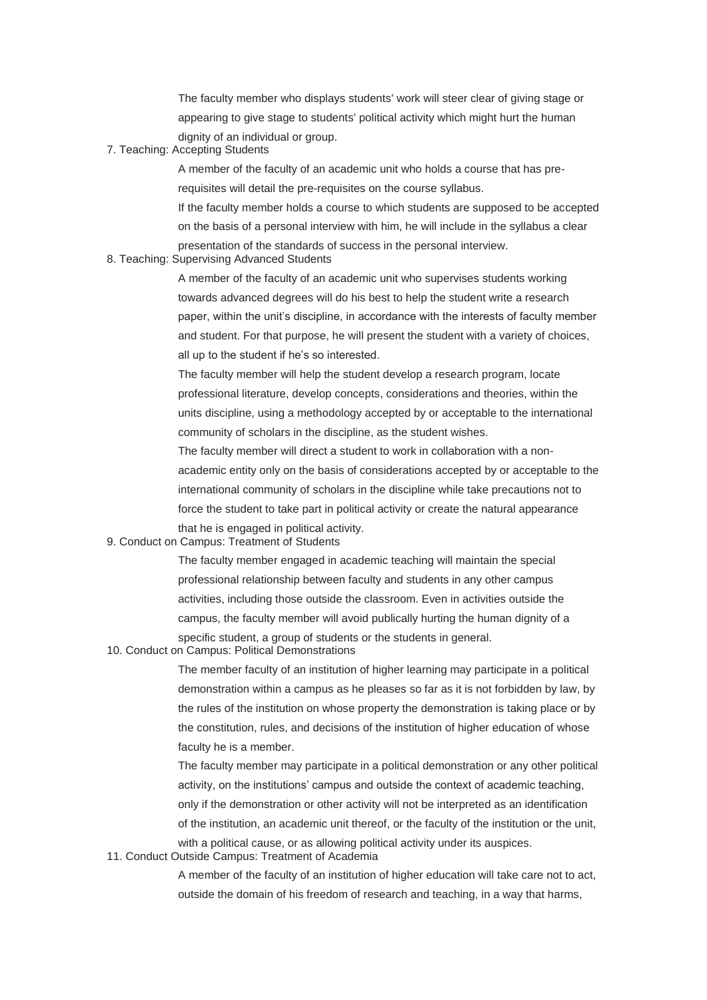The faculty member who displays students' work will steer clear of giving stage or appearing to give stage to students' political activity which might hurt the human dignity of an individual or group.

7. Teaching: Accepting Students

A member of the faculty of an academic unit who holds a course that has prerequisites will detail the pre-requisites on the course syllabus.

If the faculty member holds a course to which students are supposed to be accepted on the basis of a personal interview with him, he will include in the syllabus a clear presentation of the standards of success in the personal interview.

8. Teaching: Supervising Advanced Students

A member of the faculty of an academic unit who supervises students working towards advanced degrees will do his best to help the student write a research paper, within the unit's discipline, in accordance with the interests of faculty member and student. For that purpose, he will present the student with a variety of choices, all up to the student if he's so interested.

The faculty member will help the student develop a research program, locate professional literature, develop concepts, considerations and theories, within the units discipline, using a methodology accepted by or acceptable to the international community of scholars in the discipline, as the student wishes.

The faculty member will direct a student to work in collaboration with a nonacademic entity only on the basis of considerations accepted by or acceptable to the international community of scholars in the discipline while take precautions not to force the student to take part in political activity or create the natural appearance that he is engaged in political activity.

9. Conduct on Campus: Treatment of Students

The faculty member engaged in academic teaching will maintain the special professional relationship between faculty and students in any other campus activities, including those outside the classroom. Even in activities outside the campus, the faculty member will avoid publically hurting the human dignity of a specific student, a group of students or the students in general.

10. Conduct on Campus: Political Demonstrations

The member faculty of an institution of higher learning may participate in a political demonstration within a campus as he pleases so far as it is not forbidden by law, by the rules of the institution on whose property the demonstration is taking place or by the constitution, rules, and decisions of the institution of higher education of whose faculty he is a member.

The faculty member may participate in a political demonstration or any other political activity, on the institutions' campus and outside the context of academic teaching, only if the demonstration or other activity will not be interpreted as an identification of the institution, an academic unit thereof, or the faculty of the institution or the unit, with a political cause, or as allowing political activity under its auspices.

11. Conduct Outside Campus: Treatment of Academia

A member of the faculty of an institution of higher education will take care not to act, outside the domain of his freedom of research and teaching, in a way that harms,